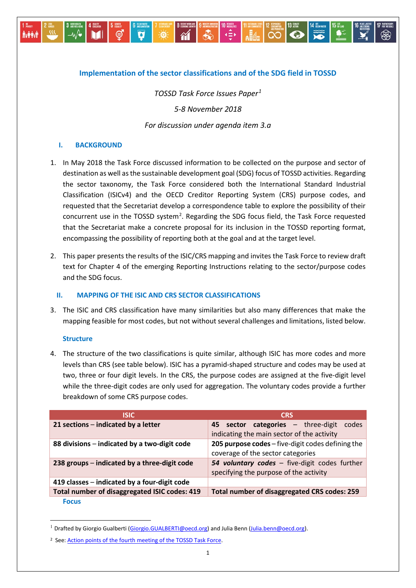# **Implementation of the sector classifications and of the SDG field in TOSSD**

*TOSSD Task Force Issues Paper[1](#page-0-0) 5-8 November 2018 For discussion under agenda item 3.a*

## **I. BACKGROUND**

**A-PRI** 

- 1. In May 2018 the Task Force discussed information to be collected on the purpose and sector of destination as well as the sustainable development goal (SDG) focus of TOSSD activities. Regarding the sector taxonomy, the Task Force considered both the International Standard Industrial Classification (ISICv4) and the OECD Creditor Reporting System (CRS) purpose codes, and requested that the Secretariat develop a correspondence table to explore the possibility of their concurrent use in the TOSSD system<sup>[2](#page-0-1)</sup>. Regarding the SDG focus field, the Task Force requested that the Secretariat make a concrete proposal for its inclusion in the TOSSD reporting format, encompassing the possibility of reporting both at the goal and at the target level.
- 2. This paper presents the results of the ISIC/CRS mapping and invites the Task Force to review draft text for Chapter 4 of the emerging Reporting Instructions relating to the sector/purpose codes and the SDG focus.

## **II. MAPPING OF THE ISIC AND CRS SECTOR CLASSIFICATIONS**

3. The ISIC and CRS classification have many similarities but also many differences that make the mapping feasible for most codes, but not without several challenges and limitations, listed below.

## **Structure**

**.** 

4. The structure of the two classifications is quite similar, although ISIC has more codes and more levels than CRS (see table below). ISIC has a pyramid-shaped structure and codes may be used at two, three or four digit levels. In the CRS, the purpose codes are assigned at the five-digit level while the three-digit codes are only used for aggregation. The voluntary codes provide a further breakdown of some CRS purpose codes.

| <b>ISIC</b>                                   | <b>CRS</b>                                                                                |
|-----------------------------------------------|-------------------------------------------------------------------------------------------|
| 21 sections - indicated by a letter           | 45 sector categories - three-digit<br>codes<br>indicating the main sector of the activity |
| 88 divisions – indicated by a two-digit code  | 205 purpose codes - five-digit codes defining the<br>coverage of the sector categories    |
| 238 groups – indicated by a three-digit code  | 54 voluntary codes - five-digit codes further<br>specifying the purpose of the activity   |
| 419 classes – indicated by a four-digit code  |                                                                                           |
| Total number of disaggregated ISIC codes: 419 | Total number of disaggregated CRS codes: 259                                              |
| <b>Focus</b>                                  |                                                                                           |

<span id="page-0-0"></span><sup>&</sup>lt;sup>1</sup> Drafted by Giorgio Gualberti [\(Giorgio.GUALBERTI@oecd.org\)](mailto:Giorgio.GUALBERTI@oecd.org) and Julia Benn [\(Julia.benn@oecd.org\)](mailto:Julia.benn@oecd.org).

<span id="page-0-1"></span><sup>2</sup> See: [Action points of the fourth meeting of the TOSSD Task](http://www.oecd.org/dac/financing-sustainable-development/development-finance-standards/4th%20TOSSD%20Task%20Force%20Action%20Points.pdf) Force.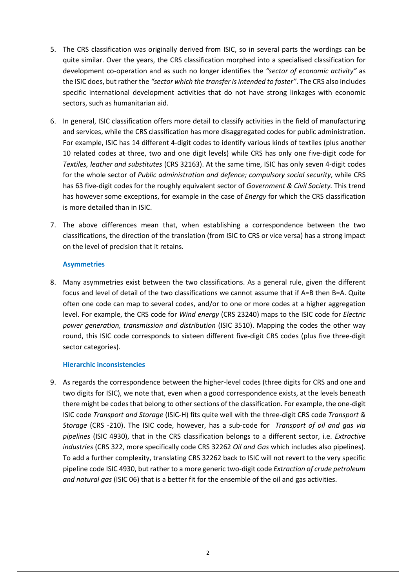- 5. The CRS classification was originally derived from ISIC, so in several parts the wordings can be quite similar. Over the years, the CRS classification morphed into a specialised classification for development co-operation and as such no longer identifies the *"sector of economic activity"* as the ISIC does, but rather the *"sector which the transfer is intended to foster"*. The CRS also includes specific international development activities that do not have strong linkages with economic sectors, such as humanitarian aid.
- 6. In general, ISIC classification offers more detail to classify activities in the field of manufacturing and services, while the CRS classification has more disaggregated codes for public administration. For example, ISIC has 14 different 4-digit codes to identify various kinds of textiles (plus another 10 related codes at three, two and one digit levels) while CRS has only one five-digit code for *Textiles, leather and substitutes* (CRS 32163). At the same time, ISIC has only seven 4-digit codes for the whole sector of *Public administration and defence; compulsory social security*, while CRS has 63 five-digit codes for the roughly equivalent sector of *Government & Civil Society.* This trend has however some exceptions, for example in the case of *Energy* for which the CRS classification is more detailed than in ISIC.
- 7. The above differences mean that, when establishing a correspondence between the two classifications, the direction of the translation (from ISIC to CRS or vice versa) has a strong impact on the level of precision that it retains.

# **Asymmetries**

8. Many asymmetries exist between the two classifications. As a general rule, given the different focus and level of detail of the two classifications we cannot assume that if A=B then B=A. Quite often one code can map to several codes, and/or to one or more codes at a higher aggregation level. For example, the CRS code for *Wind energy* (CRS 23240) maps to the ISIC code for *Electric power generation, transmission and distribution* (ISIC 3510). Mapping the codes the other way round, this ISIC code corresponds to sixteen different five-digit CRS codes (plus five three-digit sector categories).

## **Hierarchic inconsistencies**

9. As regards the correspondence between the higher-level codes (three digits for CRS and one and two digits for ISIC), we note that, even when a good correspondence exists, at the levels beneath there might be codes that belong to other sections of the classification. For example, the one-digit ISIC code *Transport and Storage* (ISIC-H) fits quite well with the three-digit CRS code *Transport & Storage* (CRS -210). The ISIC code, however, has a sub-code for *Transport of oil and gas via pipelines* (ISIC 4930), that in the CRS classification belongs to a different sector, i.e. *Extractive industries* (CRS 322, more specifically code CRS 32262 *Oil and Gas* which includes also pipelines). To add a further complexity, translating CRS 32262 back to ISIC will not revert to the very specific pipeline code ISIC 4930, but rather to a more generic two-digit code *Extraction of crude petroleum and natural gas* (ISIC 06) that is a better fit for the ensemble of the oil and gas activities.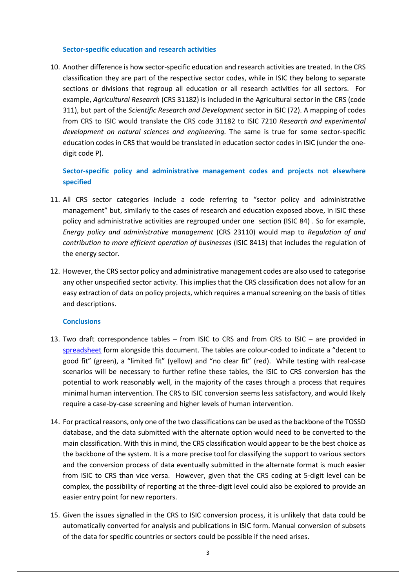#### **Sector-specific education and research activities**

10. Another difference is how sector-specific education and research activities are treated. In the CRS classification they are part of the respective sector codes, while in ISIC they belong to separate sections or divisions that regroup all education or all research activities for all sectors. For example, *Agricultural Research* (CRS 31182) is included in the Agricultural sector in the CRS (code 311), but part of the *Scientific Research and Development* sector in ISIC (72). A mapping of codes from CRS to ISIC would translate the CRS code 31182 to ISIC 7210 *Research and experimental development on natural sciences and engineering.* The same is true for some sector-specific education codes in CRS that would be translated in education sector codes in ISIC (under the onedigit code P).

# **Sector-specific policy and administrative management codes and projects not elsewhere specified**

- 11. All CRS sector categories include a code referring to "sector policy and administrative management" but, similarly to the cases of research and education exposed above, in ISIC these policy and administrative activities are regrouped under one section (ISIC 84) . So for example, *Energy policy and administrative management* (CRS 23110) would map to *Regulation of and contribution to more efficient operation of businesses* (ISIC 8413) that includes the regulation of the energy sector.
- 12. However, the CRS sector policy and administrative management codes are also used to categorise any other unspecified sector activity. This implies that the CRS classification does not allow for an easy extraction of data on policy projects, which requires a manual screening on the basis of titles and descriptions.

## **Conclusions**

- 13. Two draft correspondence tables from ISIC to CRS and from CRS to ISIC are provided in [spreadsheet](http://www.oecd.org/development/financing-sustainable-development/development-finance-standards/TOSSD-correspondence-CRS-ISIC-sector-classifications.xlsx) form alongside this document. The tables are colour-coded to indicate a "decent to good fit" (green), a "limited fit" (yellow) and "no clear fit" (red). While testing with real-case scenarios will be necessary to further refine these tables, the ISIC to CRS conversion has the potential to work reasonably well, in the majority of the cases through a process that requires minimal human intervention. The CRS to ISIC conversion seems less satisfactory, and would likely require a case-by-case screening and higher levels of human intervention.
- 14. For practical reasons, only one of the two classifications can be used as the backbone of the TOSSD database, and the data submitted with the alternate option would need to be converted to the main classification. With this in mind, the CRS classification would appear to be the best choice as the backbone of the system. It is a more precise tool for classifying the support to various sectors and the conversion process of data eventually submitted in the alternate format is much easier from ISIC to CRS than vice versa. However, given that the CRS coding at 5-digit level can be complex, the possibility of reporting at the three-digit level could also be explored to provide an easier entry point for new reporters.
- 15. Given the issues signalled in the CRS to ISIC conversion process, it is unlikely that data could be automatically converted for analysis and publications in ISIC form. Manual conversion of subsets of the data for specific countries or sectors could be possible if the need arises.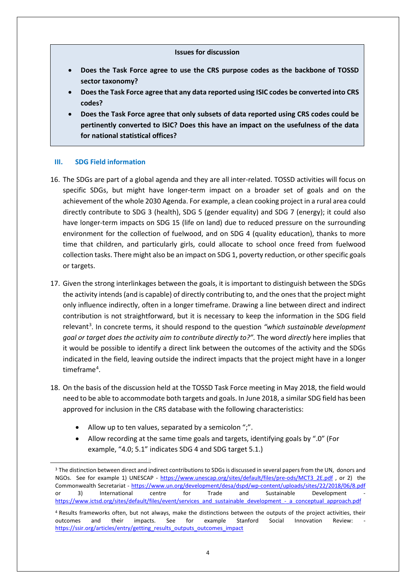#### **Issues for discussion**

- **Does the Task Force agree to use the CRS purpose codes as the backbone of TOSSD sector taxonomy?**
- **Does the Task Force agree that any data reported using ISIC codes be converted into CRS codes?**
- **Does the Task Force agree that only subsets of data reported using CRS codes could be pertinently converted to ISIC? Does this have an impact on the usefulness of the data for national statistical offices?**

## **III. SDG Field information**

- 16. The SDGs are part of a global agenda and they are all inter-related. TOSSD activities will focus on specific SDGs, but might have longer-term impact on a broader set of goals and on the achievement of the whole 2030 Agenda. For example, a clean cooking project in a rural area could directly contribute to SDG 3 (health), SDG 5 (gender equality) and SDG 7 (energy); it could also have longer-term impacts on SDG 15 (life on land) due to reduced pressure on the surrounding environment for the collection of fuelwood, and on SDG 4 (quality education), thanks to more time that children, and particularly girls, could allocate to school once freed from fuelwood collection tasks. There might also be an impact on SDG 1, poverty reduction, or other specific goals or targets.
- 17. Given the strong interlinkages between the goals, it is important to distinguish between the SDGs the activity intends (and is capable) of directly contributing to, and the ones that the project might only influence indirectly, often in a longer timeframe. Drawing a line between direct and indirect contribution is not straightforward, but it is necessary to keep the information in the SDG field relevant<sup>[3](#page-3-0)</sup>. In concrete terms, it should respond to the question "which *sustainable development goal or target does the activity aim to contribute directly to?".* The word *directly* here implies that it would be possible to identify a direct link between the outcomes of the activity and the SDGs indicated in the field, leaving outside the indirect impacts that the project might have in a longer timeframe<sup>[4](#page-3-1)</sup>.
- 18. On the basis of the discussion held at the TOSSD Task Force meeting in May 2018, the field would need to be able to accommodate both targets and goals. In June 2018, a similar SDG field has been approved for inclusion in the CRS database with the following characteristics:
	- Allow up to ten values, separated by a semicolon ";".
	- Allow recording at the same time goals and targets, identifying goals by ".0" (For example, "4.0; 5.1" indicates SDG 4 and SDG target 5.1.)

<span id="page-3-0"></span><sup>&</sup>lt;sup>3</sup> The distinction between direct and indirect contributions to SDGs is discussed in several papers from the UN, donors and NGOs. See for example 1) UNESCAP - [https://www.unescap.org/sites/default/files/pre-ods/MCT3\\_2E.pdf](https://www.unescap.org/sites/default/files/pre-ods/MCT3_2E.pdf) , or 2) the Commonwealth Secretariat - <https://www.un.org/development/desa/dspd/wp-content/uploads/sites/22/2018/06/8.pdf> or 3) International centre for Trade and Sustainable Development [https://www.ictsd.org/sites/default/files/event/services\\_and\\_sustainable\\_development\\_-\\_a\\_conceptual\\_approach.pdf](https://www.ictsd.org/sites/default/files/event/services_and_sustainable_development_-_a_conceptual_approach.pdf)

<span id="page-3-1"></span><sup>4</sup> Results frameworks often, but not always, make the distinctions between the outputs of the project activities, their outcomes and their impacts. See for example Stanford Social Innovation Review: [https://ssir.org/articles/entry/getting\\_results\\_outputs\\_outcomes\\_impact](https://ssir.org/articles/entry/getting_results_outputs_outcomes_impact)